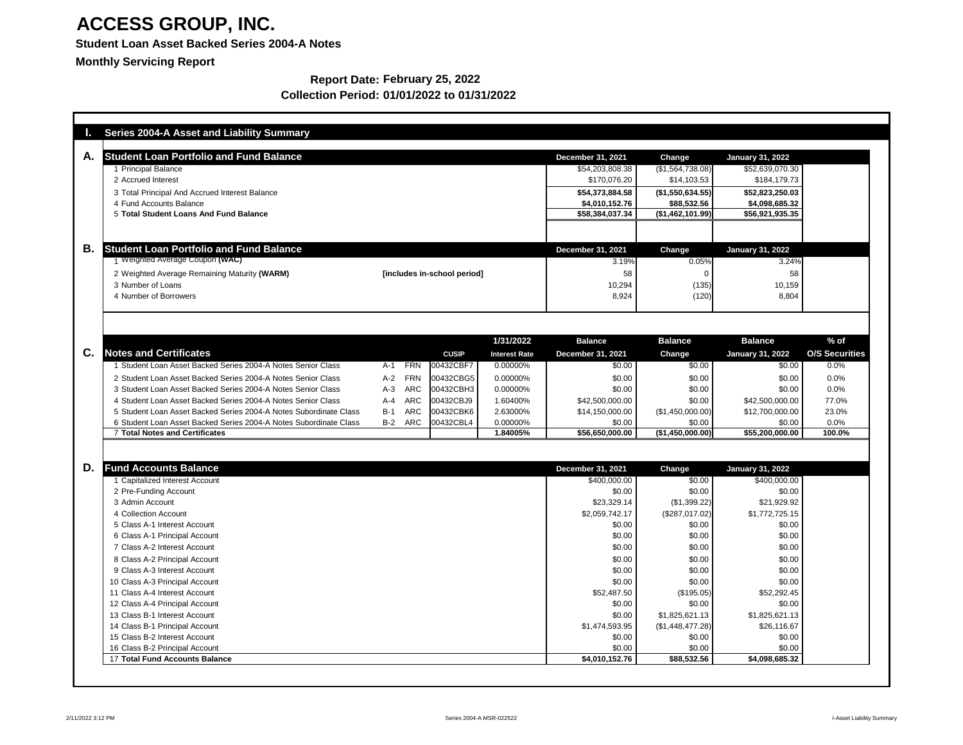### **Student Loan Asset Backed Series 2004-A Notes**

**Monthly Servicing Report**

|    | <b>Series 2004-A Asset and Liability Summary</b>                  |                                  |                      |                                             |                                   |                                            |                       |
|----|-------------------------------------------------------------------|----------------------------------|----------------------|---------------------------------------------|-----------------------------------|--------------------------------------------|-----------------------|
| А. | <b>Student Loan Portfolio and Fund Balance</b>                    |                                  |                      |                                             |                                   |                                            |                       |
|    | 1 Principal Balance                                               |                                  |                      | <b>December 31, 2021</b><br>\$54,203,808.38 | <b>Change</b><br>(\$1,564,738.08) | <b>January 31, 2022</b><br>\$52,639,070.30 |                       |
|    | 2 Accrued Interest                                                |                                  |                      | \$170,076.20                                | \$14,103.53                       | \$184,179.73                               |                       |
|    | 3 Total Principal And Accrued Interest Balance                    |                                  |                      | \$54,373,884.58                             | (\$1,550,634.55)]                 | \$52,823,250.03                            |                       |
|    | 4 Fund Accounts Balance                                           |                                  |                      | \$4,010,152.76                              | \$88,532.56                       | \$4,098,685.32                             |                       |
|    | 5 Total Student Loans And Fund Balance                            |                                  |                      | \$58,384,037.34                             | (\$1,462,101.99)                  | \$56,921,935.35                            |                       |
|    |                                                                   |                                  |                      |                                             |                                   |                                            |                       |
| В. | <b>Student Loan Portfolio and Fund Balance</b>                    |                                  |                      | <b>December 31, 2021</b>                    | <b>Change</b>                     | <b>January 31, 2022</b>                    |                       |
|    | 1 Weighted Average Coupon (WAC)                                   |                                  |                      | 3.19%                                       | 0.05%                             | 3.24%                                      |                       |
|    | 2 Weighted Average Remaining Maturity (WARM)                      | [includes in-school period]      |                      | 58                                          |                                   | 58                                         |                       |
|    | 3 Number of Loans                                                 |                                  |                      | 10,294                                      | (135)                             | 10,159                                     |                       |
|    | 4 Number of Borrowers                                             |                                  |                      | 8,924                                       | (120)                             | 8,804                                      |                       |
|    |                                                                   |                                  |                      |                                             |                                   |                                            |                       |
|    |                                                                   |                                  |                      |                                             |                                   |                                            |                       |
|    |                                                                   |                                  | 1/31/2022            | <b>Balance</b>                              | <b>Balance</b>                    | <b>Balance</b>                             | $%$ of                |
| C. | <b>Notes and Certificates</b>                                     | <b>CUSIP</b>                     | <b>Interest Rate</b> | <b>December 31, 2021</b>                    | <b>Change</b>                     | <b>January 31, 2022</b>                    | <b>O/S Securities</b> |
|    | Student Loan Asset Backed Series 2004-A Notes Senior Class        | <b>FRN</b><br>00432CBF7<br>A-1   | 0.00000%             | \$0.00                                      | \$0.00                            | \$0.00                                     | 0.0%                  |
|    | 2 Student Loan Asset Backed Series 2004-A Notes Senior Class      | <b>FRN</b><br>00432CBG5<br>$A-2$ | 0.00000%             | \$0.00                                      | \$0.00                            | \$0.00                                     | 0.0%                  |
|    | 3 Student Loan Asset Backed Series 2004-A Notes Senior Class      | <b>ARC</b><br>$A-3$<br>00432CBH3 | 0.00000%             | \$0.00                                      | \$0.00                            | \$0.00                                     | 0.0%                  |
|    | 4 Student Loan Asset Backed Series 2004-A Notes Senior Class      | <b>ARC</b><br>$A-4$<br>00432CBJ9 | 1.60400%             | \$42,500,000.00                             | \$0.00                            | \$42,500,000.00                            | 77.0%                 |
|    | 5 Student Loan Asset Backed Series 2004-A Notes Subordinate Class | <b>ARC</b><br>$B-1$<br>00432CBK6 | 2.63000%             | \$14,150,000.00                             | $(\$1,450,000.00)$                | \$12,700,000.00                            | 23.0%                 |
|    | 6 Student Loan Asset Backed Series 2004-A Notes Subordinate Class | ARC<br>00432CBL4<br>$B-2$        | 0.00000%             | \$0.00                                      | \$0.00                            | \$0.00                                     | 0.0%                  |
|    | <b>7 Total Notes and Certificates</b>                             |                                  | 1.84005%             | \$56,650,000.00                             | (\$1,450,000.00)                  | \$55,200,000.00                            | 100.0%                |
|    |                                                                   |                                  |                      |                                             |                                   |                                            |                       |
| D. | <b>Fund Accounts Balance</b>                                      |                                  |                      | <b>December 31, 2021</b>                    | Change                            | <b>January 31, 2022</b>                    |                       |
|    | 1 Capitalized Interest Account                                    |                                  |                      | \$400,000.00                                | \$0.00                            | \$400,000.00                               |                       |
|    | 2 Pre-Funding Account                                             |                                  |                      | \$0.00                                      | \$0.00                            | \$0.00                                     |                       |
|    | 3 Admin Account                                                   |                                  |                      | \$23,329.14                                 | (\$1,399.22)                      | \$21,929.92                                |                       |
|    | 4 Collection Account                                              |                                  |                      | \$2,059,742.17                              | (\$287,017.02)                    | \$1,772,725.15                             |                       |
|    | 5 Class A-1 Interest Account                                      |                                  |                      | \$0.00                                      | \$0.00                            | \$0.00                                     |                       |
|    | 6 Class A-1 Principal Account<br>7 Class A-2 Interest Account     |                                  |                      | \$0.00                                      | \$0.00                            | \$0.00                                     |                       |
|    |                                                                   |                                  |                      | \$0.00                                      | \$0.00                            | \$0.00                                     |                       |
|    | 8 Class A-2 Principal Account<br>9 Class A-3 Interest Account     |                                  |                      | \$0.00                                      | \$0.00                            | \$0.00                                     |                       |
|    | 10 Class A-3 Principal Account                                    |                                  |                      | \$0.00<br>\$0.00                            | \$0.00<br>\$0.00                  | \$0.00<br>\$0.00                           |                       |
|    | 11 Class A-4 Interest Account                                     |                                  |                      | \$52,487.50                                 | (\$195.05)                        | \$52,292.45                                |                       |
|    | 12 Class A-4 Principal Account                                    |                                  |                      | \$0.00                                      | \$0.00                            | \$0.00                                     |                       |
|    | 13 Class B-1 Interest Account                                     |                                  |                      | \$0.00                                      | \$1,825,621.13                    | \$1,825,621.13                             |                       |
|    | 14 Class B-1 Principal Account                                    |                                  |                      | \$1,474,593.95                              | (\$1,448,477.28)                  | \$26,116.67                                |                       |
|    | 15 Class B-2 Interest Account                                     |                                  |                      | \$0.00                                      | \$0.00                            | \$0.00                                     |                       |
|    | 16 Class B-2 Principal Account                                    |                                  |                      | \$0.00                                      | \$0.00                            | \$0.00                                     |                       |
|    | <b>17 Total Fund Accounts Balance</b>                             |                                  |                      | \$4,010,152.76                              | \$88,532.56                       | \$4,098,685.32                             |                       |

#### **Report Date: February 25, 2022 Collection Period: 01/01/2022 to 01/31/2022**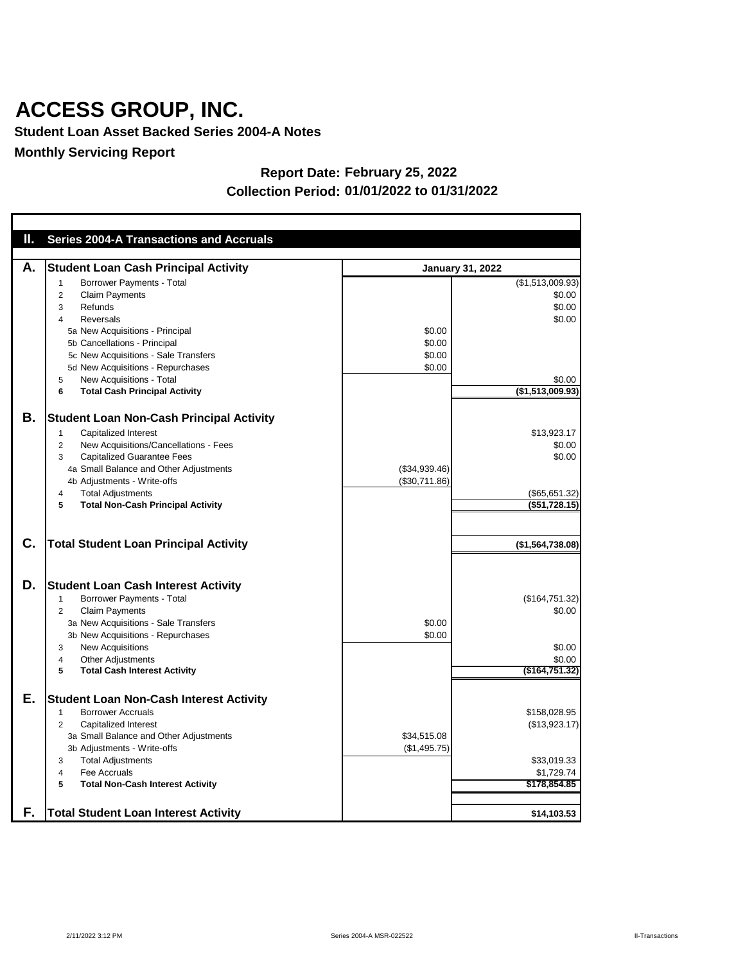**Student Loan Asset Backed Series 2004-A Notes**

**Monthly Servicing Report**

| Ш. | <b>Series 2004-A Transactions and Accruals</b>                                   |               |                         |
|----|----------------------------------------------------------------------------------|---------------|-------------------------|
|    |                                                                                  |               |                         |
| А. | <b>Student Loan Cash Principal Activity</b>                                      |               | <b>January 31, 2022</b> |
|    | Borrower Payments - Total<br>1                                                   |               | (\$1,513,009.93)        |
|    | <b>Claim Payments</b><br>2                                                       |               | \$0.00                  |
|    | Refunds<br>3                                                                     |               | \$0.00                  |
|    | <b>Reversals</b><br>4                                                            |               | \$0.00                  |
|    | 5a New Acquisitions - Principal                                                  | \$0.00        |                         |
|    | 5b Cancellations - Principal                                                     | \$0.00        |                         |
|    | 5c New Acquisitions - Sale Transfers                                             | \$0.00        |                         |
|    | 5d New Acquisitions - Repurchases                                                | \$0.00        |                         |
|    | New Acquisitions - Total<br>5                                                    |               | \$0.00                  |
|    | <b>Total Cash Principal Activity</b><br>6                                        |               | (\$1,513,009.93)        |
|    |                                                                                  |               |                         |
| В. | <b>Student Loan Non-Cash Principal Activity</b>                                  |               |                         |
|    | <b>Capitalized Interest</b><br>1                                                 |               | \$13,923.17             |
|    | New Acquisitions/Cancellations - Fees<br>2                                       |               | \$0.00                  |
|    | <b>Capitalized Guarantee Fees</b><br>3<br>4a Small Balance and Other Adjustments | (\$34,939.46) | \$0.00                  |
|    | 4b Adjustments - Write-offs                                                      | (\$30,711.86) |                         |
|    | <b>Total Adjustments</b><br>4                                                    |               | (\$65,651.32)           |
|    | <b>Total Non-Cash Principal Activity</b><br>5                                    |               | (\$51,728.15)           |
|    |                                                                                  |               |                         |
|    |                                                                                  |               |                         |
| C. | <b>Total Student Loan Principal Activity</b>                                     |               | (\$1,564,738.08)        |
|    |                                                                                  |               |                         |
|    |                                                                                  |               |                         |
| D. | <b>Student Loan Cash Interest Activity</b>                                       |               |                         |
|    | <b>Borrower Payments - Total</b><br>1                                            |               | (\$164,751.32)          |
|    | <b>Claim Payments</b><br>2                                                       |               | \$0.00                  |
|    | 3a New Acquisitions - Sale Transfers                                             | \$0.00        |                         |
|    | 3b New Acquisitions - Repurchases                                                | \$0.00        |                         |
|    | <b>New Acquisitions</b><br>3<br><b>Other Adjustments</b>                         |               | \$0.00<br>\$0.00        |
|    | 4<br><b>Total Cash Interest Activity</b><br>5                                    |               | $($ \$164,751.32)       |
|    |                                                                                  |               |                         |
| Е. | <b>Student Loan Non-Cash Interest Activity</b>                                   |               |                         |
|    | <b>Borrower Accruals</b>                                                         |               | \$158,028.95            |
|    | <b>Capitalized Interest</b><br>$\overline{c}$                                    |               | (\$13,923.17)           |
|    | 3a Small Balance and Other Adjustments                                           | \$34,515.08   |                         |
|    | 3b Adjustments - Write-offs                                                      | (\$1,495.75)  |                         |
|    | <b>Total Adjustments</b><br>3                                                    |               | \$33,019.33             |
|    | Fee Accruals<br>4                                                                |               | \$1,729.74              |
|    | <b>Total Non-Cash Interest Activity</b><br>5                                     |               | \$178,854.85            |
|    |                                                                                  |               |                         |
| F. | <b>Total Student Loan Interest Activity</b>                                      |               | \$14,103.53             |

#### **Report Date: February 25, 2022 Collection Period: 01/01/2022 to 01/31/2022**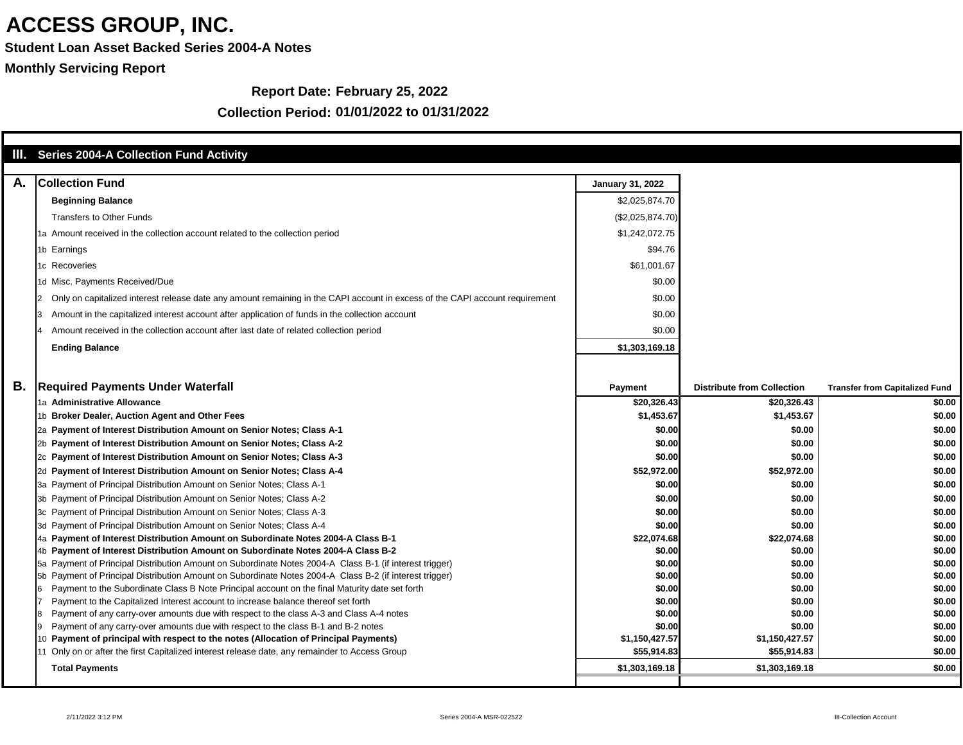**Student Loan Asset Backed Series 2004-A Notes**

**Monthly Servicing Report**

#### **Report Date: February 25, 2022**

|    | <b>III.</b> Series 2004-A Collection Fund Activity                                                                                                                           |                         |                                   |                                       |
|----|------------------------------------------------------------------------------------------------------------------------------------------------------------------------------|-------------------------|-----------------------------------|---------------------------------------|
| А. | <b>Collection Fund</b>                                                                                                                                                       | <b>January 31, 2022</b> |                                   |                                       |
|    |                                                                                                                                                                              |                         |                                   |                                       |
|    | <b>Beginning Balance</b>                                                                                                                                                     | \$2,025,874.70          |                                   |                                       |
|    | <b>Transfers to Other Funds</b>                                                                                                                                              | (\$2,025,874.70)        |                                   |                                       |
|    | 1a Amount received in the collection account related to the collection period                                                                                                | \$1,242,072.75          |                                   |                                       |
|    | 1b Earnings                                                                                                                                                                  | \$94.76                 |                                   |                                       |
|    | 1c Recoveries                                                                                                                                                                | \$61,001.67             |                                   |                                       |
|    | 1d Misc. Payments Received/Due                                                                                                                                               | \$0.00                  |                                   |                                       |
|    | Only on capitalized interest release date any amount remaining in the CAPI account in excess of the CAPI account requirement                                                 | \$0.00                  |                                   |                                       |
|    | Amount in the capitalized interest account after application of funds in the collection account                                                                              | \$0.00                  |                                   |                                       |
|    | Amount received in the collection account after last date of related collection period                                                                                       | \$0.00                  |                                   |                                       |
|    | <b>Ending Balance</b>                                                                                                                                                        | \$1,303,169.18          |                                   |                                       |
|    |                                                                                                                                                                              |                         |                                   |                                       |
|    |                                                                                                                                                                              |                         |                                   |                                       |
| Β. | <b>Required Payments Under Waterfall</b>                                                                                                                                     | <b>Payment</b>          | <b>Distribute from Collection</b> | <b>Transfer from Capitalized Fund</b> |
|    | 1a Administrative Allowance                                                                                                                                                  | \$20,326.43             | \$20,326.43                       | \$0.00                                |
|    | 1b Broker Dealer, Auction Agent and Other Fees                                                                                                                               | \$1,453.67              | \$1,453.67                        | \$0.00                                |
|    | 2a Payment of Interest Distribution Amount on Senior Notes; Class A-1                                                                                                        | \$0.00                  | \$0.00                            | \$0.00                                |
|    | 2b Payment of Interest Distribution Amount on Senior Notes; Class A-2                                                                                                        | \$0.00                  | \$0.00                            | \$0.00                                |
|    | 2c Payment of Interest Distribution Amount on Senior Notes; Class A-3                                                                                                        | \$0.00                  | \$0.00                            | \$0.00                                |
|    | 2d Payment of Interest Distribution Amount on Senior Notes; Class A-4                                                                                                        | \$52,972.00             | \$52,972.00                       | \$0.00                                |
|    | 3a Payment of Principal Distribution Amount on Senior Notes; Class A-1                                                                                                       | \$0.00                  | \$0.00                            | \$0.00                                |
|    | 3b Payment of Principal Distribution Amount on Senior Notes; Class A-2                                                                                                       | \$0.00                  | \$0.00                            | \$0.00                                |
|    | 3c Payment of Principal Distribution Amount on Senior Notes; Class A-3                                                                                                       | \$0.00]                 | \$0.00                            | \$0.00                                |
|    | 3d Payment of Principal Distribution Amount on Senior Notes; Class A-4                                                                                                       | \$0.00                  | \$0.00                            | \$0.00                                |
|    | 4a Payment of Interest Distribution Amount on Subordinate Notes 2004-A Class B-1                                                                                             | \$22,074.68             | \$22,074.68                       | \$0.00                                |
|    | 4b Payment of Interest Distribution Amount on Subordinate Notes 2004-A Class B-2                                                                                             | \$0.00                  | \$0.00                            | \$0.00                                |
|    | 5a Payment of Principal Distribution Amount on Subordinate Notes 2004-A Class B-1 (if interest trigger)                                                                      | \$0.00                  | \$0.00                            | \$0.00                                |
|    | 5b Payment of Principal Distribution Amount on Subordinate Notes 2004-A Class B-2 (if interest trigger)                                                                      | \$0.00                  | \$0.00                            | \$0.00                                |
|    | Payment to the Subordinate Class B Note Principal account on the final Maturity date set forth                                                                               | \$0.00<br>\$0.00        | \$0.00<br>\$0.00                  | \$0.00<br>\$0.00                      |
|    | Payment to the Capitalized Interest account to increase balance thereof set forth<br>Payment of any carry-over amounts due with respect to the class A-3 and Class A-4 notes | \$0.00                  | \$0.00                            | \$0.00                                |
|    | Payment of any carry-over amounts due with respect to the class B-1 and B-2 notes                                                                                            | \$0.00                  | \$0.00                            | \$0.00                                |
|    | Payment of principal with respect to the notes (Allocation of Principal Payments)                                                                                            | \$1,150,427.57          | \$1,150,427.57                    | \$0.00                                |
|    | 11 Only on or after the first Capitalized interest release date, any remainder to Access Group                                                                               | \$55,914.83             | \$55,914.83                       | \$0.00                                |
|    | <b>Total Payments</b>                                                                                                                                                        | \$1,303,169.18          | \$1,303,169.18                    | \$0.00                                |
|    |                                                                                                                                                                              |                         |                                   |                                       |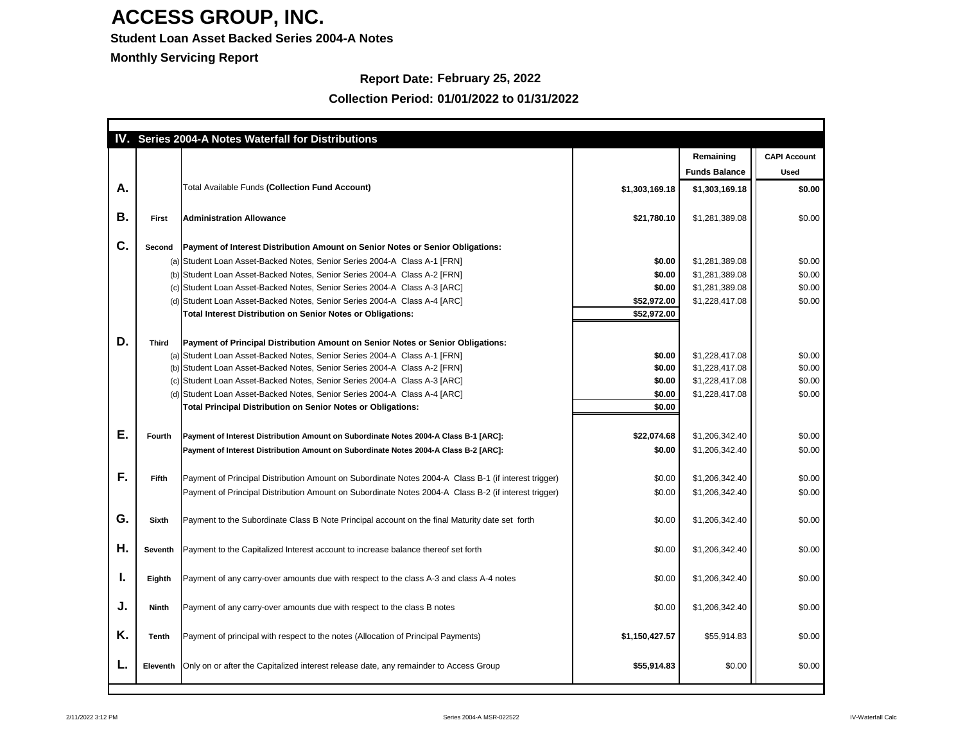#### **Student Loan Asset Backed Series 2004-A Notes**

**Monthly Servicing Report**

### **Report Date: February 25, 2022**

| IV. |                 | <b>Series 2004-A Notes Waterfall for Distributions</b>                                               |                |                      |                     |
|-----|-----------------|------------------------------------------------------------------------------------------------------|----------------|----------------------|---------------------|
|     |                 |                                                                                                      |                | Remaining            | <b>CAPI Account</b> |
|     |                 |                                                                                                      |                | <b>Funds Balance</b> | <b>Used</b>         |
| Α.  |                 | <b>Total Available Funds (Collection Fund Account)</b>                                               | \$1,303,169.18 | \$1,303,169.18       | \$0.00              |
| В.  | <b>First</b>    | <b>Administration Allowance</b>                                                                      | \$21,780.10    | \$1,281,389.08       | \$0.00              |
| C.  | <b>Second</b>   | Payment of Interest Distribution Amount on Senior Notes or Senior Obligations:                       |                |                      |                     |
|     |                 | (a) Student Loan Asset-Backed Notes, Senior Series 2004-A Class A-1 [FRN]                            | \$0.00         | \$1,281,389.08       | \$0.00              |
|     |                 | (b) Student Loan Asset-Backed Notes, Senior Series 2004-A Class A-2 [FRN]                            | \$0.00         | \$1,281,389.08       | \$0.00              |
|     |                 | (c) Student Loan Asset-Backed Notes, Senior Series 2004-A Class A-3 [ARC]                            | \$0.00         | \$1,281,389.08       | \$0.00              |
|     |                 | (d) Student Loan Asset-Backed Notes, Senior Series 2004-A Class A-4 [ARC]                            | \$52,972.00    | \$1,228,417.08       | \$0.00              |
|     |                 | <b>Total Interest Distribution on Senior Notes or Obligations:</b>                                   | \$52,972.00    |                      |                     |
|     |                 |                                                                                                      |                |                      |                     |
| D.  | <b>Third</b>    | Payment of Principal Distribution Amount on Senior Notes or Senior Obligations:                      |                |                      |                     |
|     |                 | (a) Student Loan Asset-Backed Notes, Senior Series 2004-A Class A-1 [FRN]                            | \$0.00         | \$1,228,417.08       | \$0.00              |
|     |                 | (b) Student Loan Asset-Backed Notes, Senior Series 2004-A Class A-2 [FRN]                            | \$0.00         | \$1,228,417.08       | \$0.00              |
|     |                 | (c) Student Loan Asset-Backed Notes, Senior Series 2004-A Class A-3 [ARC]                            | \$0.00         | \$1,228,417.08       | \$0.00              |
|     |                 | (d) Student Loan Asset-Backed Notes, Senior Series 2004-A Class A-4 [ARC]                            | \$0.00         | \$1,228,417.08       | \$0.00              |
|     |                 | <b>Total Principal Distribution on Senior Notes or Obligations:</b>                                  | \$0.00         |                      |                     |
|     |                 |                                                                                                      |                |                      |                     |
| Е.  | <b>Fourth</b>   | Payment of Interest Distribution Amount on Subordinate Notes 2004-A Class B-1 [ARC]:                 | \$22,074.68    | \$1,206,342.40       | \$0.00              |
|     |                 | Payment of Interest Distribution Amount on Subordinate Notes 2004-A Class B-2 [ARC]:                 | \$0.00         | \$1,206,342.40       | \$0.00              |
|     |                 |                                                                                                      |                |                      |                     |
| F.  | <b>Fifth</b>    | Payment of Principal Distribution Amount on Subordinate Notes 2004-A Class B-1 (if interest trigger) | \$0.00         | \$1,206,342.40       | \$0.00              |
|     |                 | Payment of Principal Distribution Amount on Subordinate Notes 2004-A Class B-2 (if interest trigger) | \$0.00         | \$1,206,342.40       | \$0.00              |
|     |                 |                                                                                                      |                |                      |                     |
| G.  | <b>Sixth</b>    | Payment to the Subordinate Class B Note Principal account on the final Maturity date set forth       | \$0.00         | \$1,206,342.40       | \$0.00              |
|     |                 |                                                                                                      |                |                      |                     |
| Η.  | <b>Seventh</b>  | Payment to the Capitalized Interest account to increase balance thereof set forth                    | \$0.00         | \$1,206,342.40       | \$0.00              |
|     |                 |                                                                                                      |                |                      |                     |
| ъ,  | Eighth          | Payment of any carry-over amounts due with respect to the class A-3 and class A-4 notes              | \$0.00         | \$1,206,342.40       | \$0.00              |
|     |                 |                                                                                                      |                |                      |                     |
| J.  | <b>Ninth</b>    | Payment of any carry-over amounts due with respect to the class B notes                              | \$0.00         | \$1,206,342.40       | \$0.00              |
|     |                 |                                                                                                      |                |                      |                     |
| Κ.  |                 |                                                                                                      |                |                      |                     |
|     | <b>Tenth</b>    | Payment of principal with respect to the notes (Allocation of Principal Payments)                    | \$1,150,427.57 | \$55,914.83          | \$0.00              |
|     | <b>Eleventh</b> | Only on or after the Capitalized interest release date, any remainder to Access Group                | \$55,914.83    | \$0.00               | \$0.00              |
|     |                 |                                                                                                      |                |                      |                     |
|     |                 |                                                                                                      |                |                      |                     |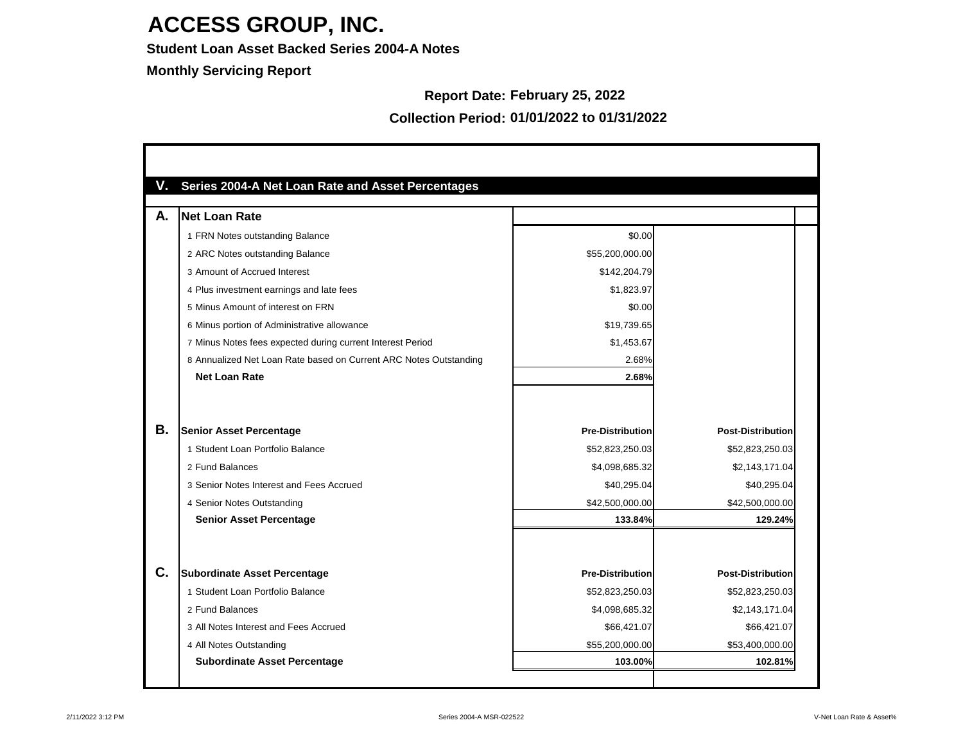**Student Loan Asset Backed Series 2004-A Notes**

**Monthly Servicing Report**

#### **Report Date: February 25, 2022**

| А. | <b>Net Loan Rate</b>                                              |                         |                          |
|----|-------------------------------------------------------------------|-------------------------|--------------------------|
|    | 1 FRN Notes outstanding Balance                                   | \$0.00                  |                          |
|    | 2 ARC Notes outstanding Balance                                   | \$55,200,000.00         |                          |
|    | 3 Amount of Accrued Interest                                      | \$142,204.79            |                          |
|    | 4 Plus investment earnings and late fees                          | \$1,823.97              |                          |
|    | 5 Minus Amount of interest on FRN                                 | \$0.00                  |                          |
|    | 6 Minus portion of Administrative allowance                       | \$19,739.65             |                          |
|    | 7 Minus Notes fees expected during current Interest Period        | \$1,453.67              |                          |
|    | 8 Annualized Net Loan Rate based on Current ARC Notes Outstanding | 2.68%                   |                          |
|    | <b>Net Loan Rate</b>                                              | 2.68%                   |                          |
|    |                                                                   |                         |                          |
| Β. | <b>Senior Asset Percentage</b>                                    | <b>Pre-Distribution</b> | <b>Post-Distribution</b> |
|    | 1 Student Loan Portfolio Balance                                  | \$52,823,250.03         | \$52,823,250.03          |
|    | 2 Fund Balances                                                   | \$4,098,685.32          | \$2,143,171.04           |
|    | 3 Senior Notes Interest and Fees Accrued                          | \$40,295.04             | \$40,295.04              |
|    | 4 Senior Notes Outstanding                                        | \$42,500,000.00         | \$42,500,000.00          |
|    | <b>Senior Asset Percentage</b>                                    | 133.84%                 | 129.24%                  |
| C. |                                                                   |                         |                          |
|    | <b>Subordinate Asset Percentage</b>                               | <b>Pre-Distribution</b> | <b>Post-Distribution</b> |
|    | 1 Student Loan Portfolio Balance                                  | \$52,823,250.03         | \$52,823,250.03          |
|    | 2 Fund Balances                                                   | \$4,098,685.32          | \$2,143,171.04           |
|    | 3 All Notes Interest and Fees Accrued                             | \$66,421.07             | \$66,421.07              |
|    | 4 All Notes Outstanding                                           | \$55,200,000.00         | \$53,400,000.00          |

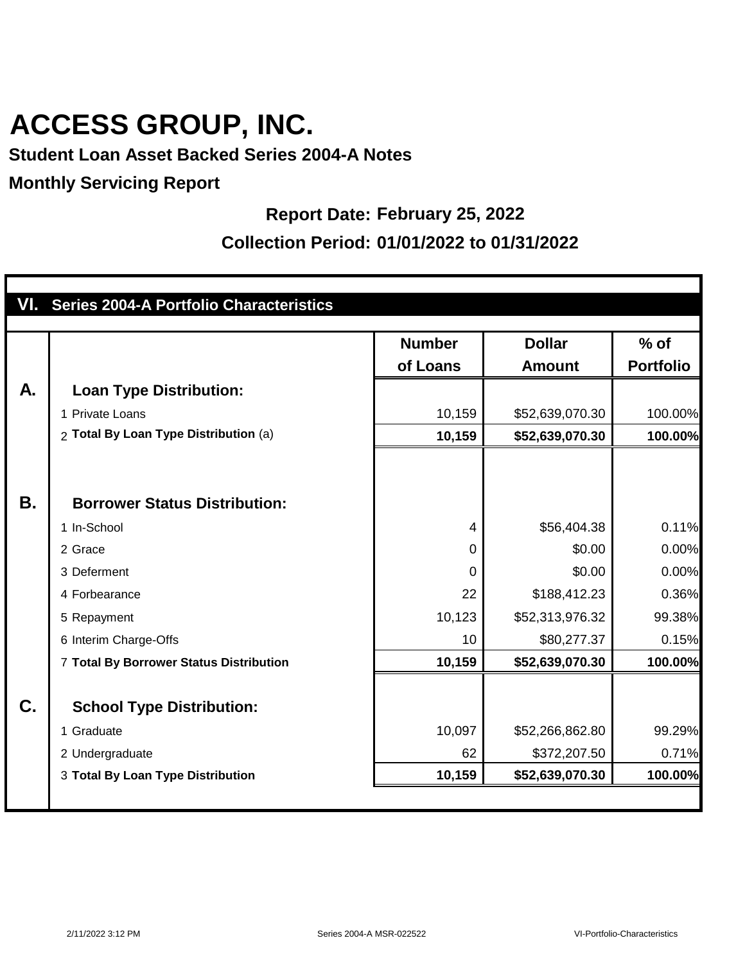### **Student Loan Asset Backed Series 2004-A Notes**

#### **Monthly Servicing Report**

#### **Report Date: February 25, 2022**

|           | VI. Series 2004-A Portfolio Characteristics |                |                 |                  |
|-----------|---------------------------------------------|----------------|-----------------|------------------|
|           |                                             |                |                 |                  |
|           |                                             | <b>Number</b>  | <b>Dollar</b>   | $%$ of           |
|           |                                             | of Loans       | <b>Amount</b>   | <b>Portfolio</b> |
| A.        | <b>Loan Type Distribution:</b>              |                |                 |                  |
|           | 1 Private Loans                             | 10,159         | \$52,639,070.30 | 100.00%          |
|           | 2 Total By Loan Type Distribution (a)       | 10,159         | \$52,639,070.30 | 100.00%          |
|           |                                             |                |                 |                  |
|           |                                             |                |                 |                  |
| <b>B.</b> | <b>Borrower Status Distribution:</b>        |                |                 |                  |
|           | 1 In-School                                 | $\overline{4}$ | \$56,404.38     | 0.11%            |
|           | 2 Grace                                     | $\mathbf 0$    | \$0.00          | 0.00%            |
|           | 3 Deferment                                 | $\mathbf 0$    | \$0.00          | 0.00%            |
|           | 4 Forbearance                               | 22             | \$188,412.23    | 0.36%            |
|           | 5 Repayment                                 | 10,123         | \$52,313,976.32 | 99.38%           |
|           | 6 Interim Charge-Offs                       | 10             | \$80,277.37     | 0.15%            |
|           | 7 Total By Borrower Status Distribution     | 10,159         | \$52,639,070.30 | 100.00%          |
|           |                                             |                |                 |                  |
| C.        | <b>School Type Distribution:</b>            |                |                 |                  |
|           | 1 Graduate                                  | 10,097         | \$52,266,862.80 | 99.29%           |
|           | 2 Undergraduate                             | 62             | \$372,207.50    | 0.71%            |
|           | 3 Total By Loan Type Distribution           | 10,159         | \$52,639,070.30 | 100.00%          |
|           |                                             |                |                 |                  |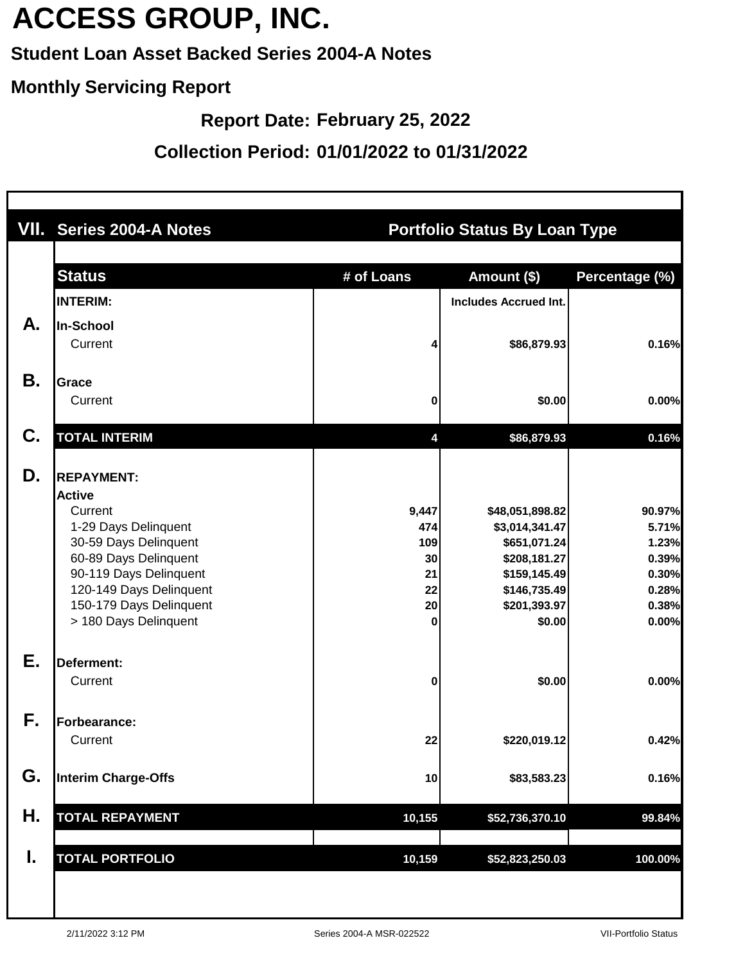### **Student Loan Asset Backed Series 2004-A Notes**

#### **Monthly Servicing Report**

**Report Date: February 25, 2022**

|    | VII. Series 2004-A Notes                                                                                                                                                                                                         |                                                  | <b>Portfolio Status By Loan Type</b>                                                                                        |                                                                       |
|----|----------------------------------------------------------------------------------------------------------------------------------------------------------------------------------------------------------------------------------|--------------------------------------------------|-----------------------------------------------------------------------------------------------------------------------------|-----------------------------------------------------------------------|
|    | <b>Status</b>                                                                                                                                                                                                                    | # of Loans                                       | Amount (\$)                                                                                                                 | Percentage (%)                                                        |
|    | <b>INTERIM:</b>                                                                                                                                                                                                                  |                                                  | <b>Includes Accrued Int.</b>                                                                                                |                                                                       |
| А. | In-School<br>Current                                                                                                                                                                                                             |                                                  | \$86,879.93                                                                                                                 | 0.16%                                                                 |
| Β. | <b>Grace</b><br>Current                                                                                                                                                                                                          | 0                                                | \$0.00                                                                                                                      | 0.00%                                                                 |
| C. | <b>TOTAL INTERIM</b>                                                                                                                                                                                                             | 4                                                | \$86,879.93                                                                                                                 | 0.16%                                                                 |
| D. | <b>REPAYMENT:</b><br><b>Active</b><br>Current<br>1-29 Days Delinquent<br>30-59 Days Delinquent<br>60-89 Days Delinquent<br>90-119 Days Delinquent<br>120-149 Days Delinquent<br>150-179 Days Delinquent<br>> 180 Days Delinquent | 9,447<br>474<br>109<br>30<br>21<br>22<br>20<br>0 | \$48,051,898.82<br>\$3,014,341.47<br>\$651,071.24<br>\$208,181.27<br>\$159,145.49<br>\$146,735.49<br>\$201,393.97<br>\$0.00 | 90.97%<br>5.71%<br>1.23%<br>0.39%<br>0.30%<br>0.28%<br>0.38%<br>0.00% |
| Ε. | Deferment:<br>Current                                                                                                                                                                                                            | 0                                                | \$0.00                                                                                                                      | 0.00%                                                                 |
| F. | Forbearance:<br>Current                                                                                                                                                                                                          | 22                                               | \$220,019.12                                                                                                                | 0.42%                                                                 |
| G. | <b>Interim Charge-Offs</b>                                                                                                                                                                                                       | 10                                               | \$83,583.23                                                                                                                 | 0.16%                                                                 |
| Н. | <b>TOTAL REPAYMENT</b>                                                                                                                                                                                                           | 10,155                                           | \$52,736,370.10                                                                                                             | 99.84%                                                                |
| I. | <b>TOTAL PORTFOLIO</b>                                                                                                                                                                                                           | 10,159                                           | \$52,823,250.03                                                                                                             | 100.00%                                                               |
|    |                                                                                                                                                                                                                                  |                                                  |                                                                                                                             |                                                                       |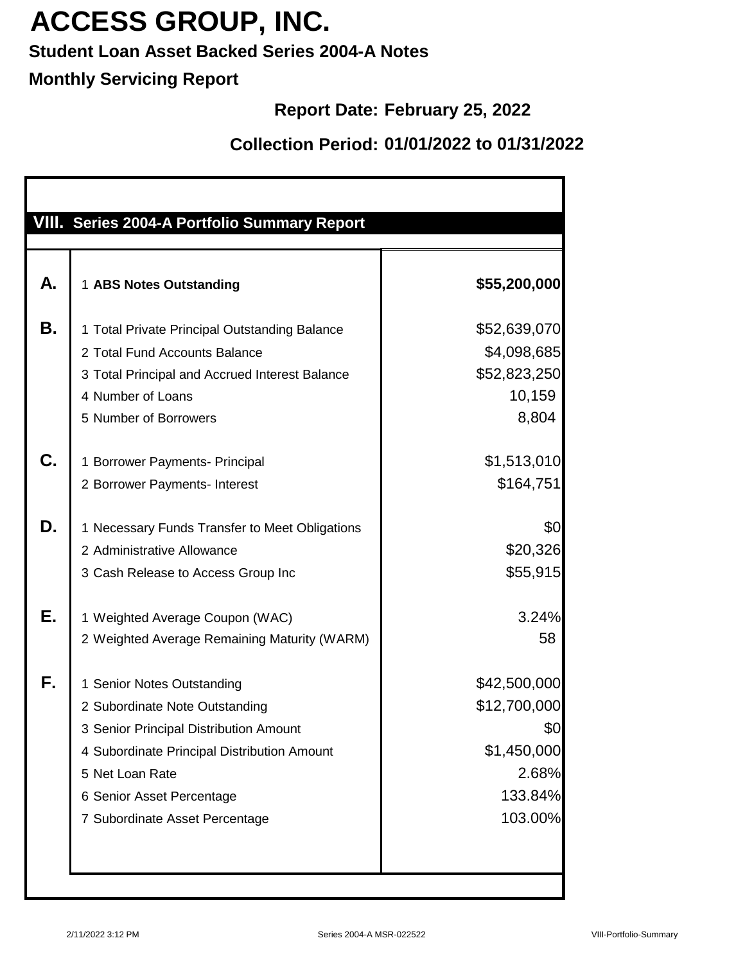### **Student Loan Asset Backed Series 2004-A Notes**

### **Monthly Servicing Report**

### **Report Date: February 25, 2022**

|           | VIII. Series 2004-A Portfolio Summary Report                                                                                                                                                                                            |                                                                                   |
|-----------|-----------------------------------------------------------------------------------------------------------------------------------------------------------------------------------------------------------------------------------------|-----------------------------------------------------------------------------------|
| Α.        | 1 ABS Notes Outstanding                                                                                                                                                                                                                 | \$55,200,000                                                                      |
| <b>B.</b> | 1 Total Private Principal Outstanding Balance<br>2 Total Fund Accounts Balance<br>3 Total Principal and Accrued Interest Balance<br>4 Number of Loans<br>5 Number of Borrowers                                                          | \$52,639,070<br>\$4,098,685<br>\$52,823,250<br>10,159<br>8,804                    |
| C.        | 1 Borrower Payments- Principal<br>2 Borrower Payments- Interest                                                                                                                                                                         | \$1,513,010<br>\$164,751                                                          |
| D.        | 1 Necessary Funds Transfer to Meet Obligations<br>2 Administrative Allowance<br>3 Cash Release to Access Group Inc                                                                                                                      | \$0<br>\$20,326<br>\$55,915                                                       |
| Е.        | 1 Weighted Average Coupon (WAC)<br>2 Weighted Average Remaining Maturity (WARM)                                                                                                                                                         | 3.24%<br>58                                                                       |
| F.        | 1 Senior Notes Outstanding<br>2 Subordinate Note Outstanding<br>3 Senior Principal Distribution Amount<br>4 Subordinate Principal Distribution Amount<br>5 Net Loan Rate<br>6 Senior Asset Percentage<br>7 Subordinate Asset Percentage | \$42,500,000<br>\$12,700,000<br>\$0<br>\$1,450,000<br>2.68%<br>133.84%<br>103.00% |